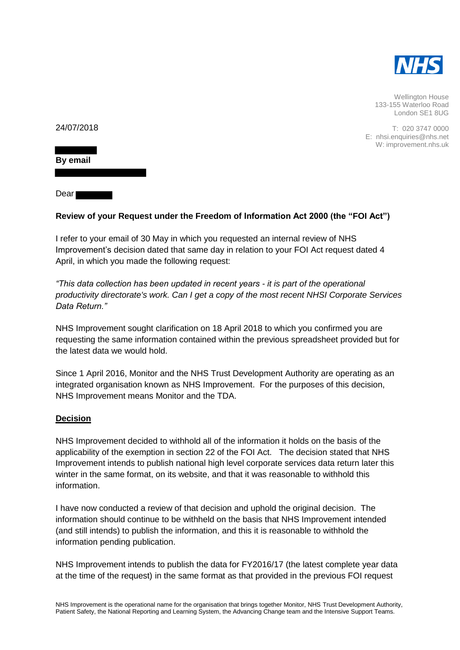

Wellington House 133-155 Waterloo Road London SE1 8UG

T: 020 3747 0000 E: nhsi.enquiries@nhs.net W: improvement.nhs.uk

24/07/2018

**By email**

Dear<sup>1</sup>

## **Review of your Request under the Freedom of Information Act 2000 (the "FOI Act")**

I refer to your email of 30 May in which you requested an internal review of NHS Improvement's decision dated that same day in relation to your FOI Act request dated 4 April, in which you made the following request:

*"This data collection has been updated in recent years - it is part of the operational productivity directorate's work. Can I get a copy of the most recent NHSI Corporate Services Data Return."* 

NHS Improvement sought clarification on 18 April 2018 to which you confirmed you are requesting the same information contained within the previous spreadsheet provided but for the latest data we would hold.

Since 1 April 2016, Monitor and the NHS Trust Development Authority are operating as an integrated organisation known as NHS Improvement. For the purposes of this decision, NHS Improvement means Monitor and the TDA.

## **Decision**

NHS Improvement decided to withhold all of the information it holds on the basis of the applicability of the exemption in section 22 of the FOI Act. The decision stated that NHS Improvement intends to publish national high level corporate services data return later this winter in the same format, on its website, and that it was reasonable to withhold this information.

I have now conducted a review of that decision and uphold the original decision. The information should continue to be withheld on the basis that NHS Improvement intended (and still intends) to publish the information, and this it is reasonable to withhold the information pending publication.

NHS Improvement intends to publish the data for FY2016/17 (the latest complete year data at the time of the request) in the same format as that provided in the previous FOI request